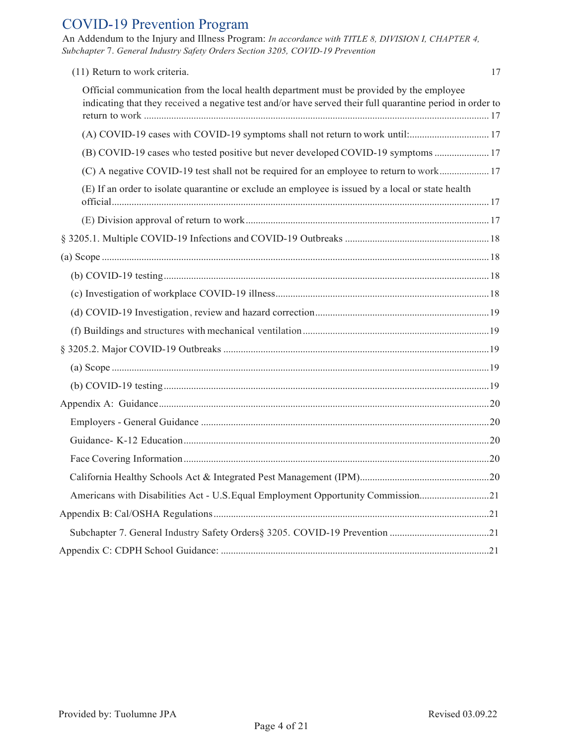# COVID-19 Prevention Program

An Addendum to the Injury and Illness Program: *In accordance with TITLE 8, DIVISION I, CHAPTER 4, Subchapter* 7. *General Industry Safety Orders Section 3205, COVID-19 Prevention*

| (11) Return to work criteria.                                                                                                                                                                         | 17 |
|-------------------------------------------------------------------------------------------------------------------------------------------------------------------------------------------------------|----|
| Official communication from the local health department must be provided by the employee<br>indicating that they received a negative test and/or have served their full quarantine period in order to |    |
| (A) COVID-19 cases with COVID-19 symptoms shall not return to work until: 17                                                                                                                          |    |
| (B) COVID-19 cases who tested positive but never developed COVID-19 symptoms  17                                                                                                                      |    |
| (C) A negative COVID-19 test shall not be required for an employee to return to work 17                                                                                                               |    |
| (E) If an order to isolate quarantine or exclude an employee is issued by a local or state health                                                                                                     |    |
|                                                                                                                                                                                                       |    |
|                                                                                                                                                                                                       |    |
|                                                                                                                                                                                                       |    |
|                                                                                                                                                                                                       |    |
|                                                                                                                                                                                                       |    |
|                                                                                                                                                                                                       |    |
|                                                                                                                                                                                                       |    |
|                                                                                                                                                                                                       |    |
|                                                                                                                                                                                                       |    |
|                                                                                                                                                                                                       |    |
|                                                                                                                                                                                                       |    |
|                                                                                                                                                                                                       |    |
|                                                                                                                                                                                                       |    |
|                                                                                                                                                                                                       |    |
|                                                                                                                                                                                                       |    |
| Americans with Disabilities Act - U.S. Equal Employment Opportunity Commission21                                                                                                                      |    |
|                                                                                                                                                                                                       |    |
|                                                                                                                                                                                                       |    |
|                                                                                                                                                                                                       |    |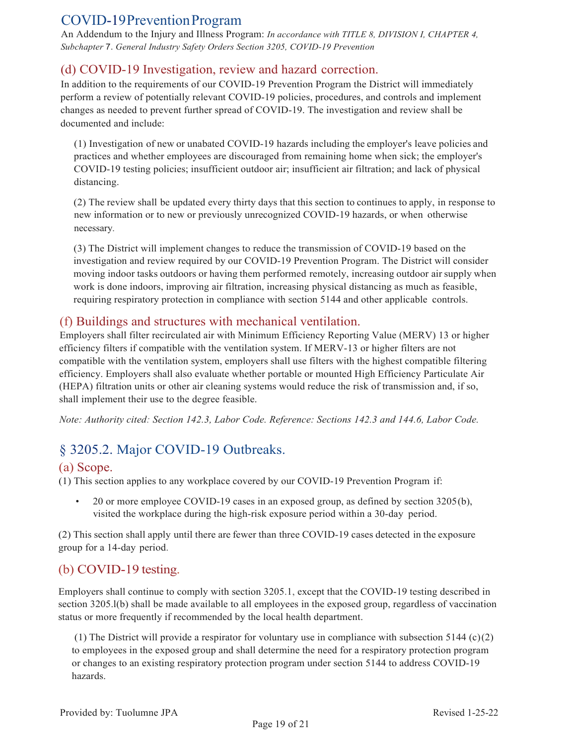## COVID-19PreventionProgram

An Addendum to the Injury and Illness Program: *In accordance with TITLE 8, DIVISION I, CHAPTER 4, Subchapter* 7. *General Industry Safety Orders Section 3205, COVID-19 Prevention*

## <span id="page-18-0"></span>(d) COVID-19 Investigation, review and hazard correction.

In addition to the requirements of our COVID-19 Prevention Program the District will immediately perform a review of potentially relevant COVID-19 policies, procedures, and controls and implement changes as needed to prevent further spread of COVID-19. The investigation and review shall be documented and include:

(1) Investigation of new or unabated COVID-19 hazards including the employer's leave policies and practices and whether employees are discouraged from remaining home when sick; the employer's COVID-19 testing policies; insufficient outdoor air; insufficient air filtration; and lack of physical distancing.

(2) The review shall be updated every thirty days that this section to continues to apply, in response to new information or to new or previously unrecognized COVID-19 hazards, or when otherwise necessary.

(3) The District will implement changes to reduce the transmission of COVID-19 based on the investigation and review required by our COVID-19 Prevention Program. The District will consider moving indoor tasks outdoors or having them performed remotely, increasing outdoor airsupply when work is done indoors, improving air filtration, increasing physical distancing as much as feasible, requiring respiratory protection in compliance with section 5144 and other applicable controls.

### <span id="page-18-1"></span>(f) Buildings and structures with mechanical ventilation.

Employers shall filter recirculated air with Minimum Efficiency Reporting Value (MERV) 13 or higher efficiency filters if compatible with the ventilation system. If MERV-13 or higher filters are not compatible with the ventilation system, employers shall use filters with the highest compatible filtering efficiency. Employers shall also evaluate whether portable or mounted High Efficiency Particulate Air (HEPA) filtration units or other air cleaning systems would reduce the risk of transmission and, if so, shall implement their use to the degree feasible.

*Note: Authority cited: Section 142.3, Labor Code. Reference: Sections 142.3 and 144.6, Labor Code.*

## <span id="page-18-2"></span>§ 3205.2. Major COVID-19 Outbreaks.

### <span id="page-18-3"></span>(a) Scope.

(1) This section applies to any workplace covered by our COVID-19 Prevention Program if:

• 20 or more employee COVID-19 cases in an exposed group, as defined by section 3205(b), visited the workplace during the high-risk exposure period within a 30-day period.

(2) This section shall apply until there are fewer than three COVID-19 cases detected in the exposure group for a 14-day period.

## <span id="page-18-4"></span>(b) COVID-19 testing.

Employers shall continue to comply with section 3205.1, except that the COVID-19 testing described in section 3205.l(b) shall be made available to all employees in the exposed group, regardless of vaccination status or more frequently if recommended by the local health department.

(1) The District will provide a respirator for voluntary use in compliance with subsection 5144 (c)(2) to employees in the exposed group and shall determine the need for a respiratory protection program or changes to an existing respiratory protection program under section 5144 to address COVID-19 hazards.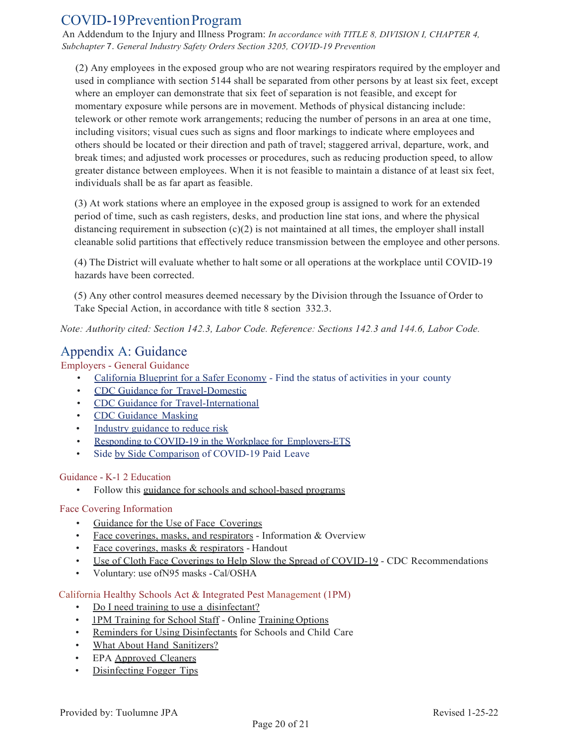## COVID-19PreventionProgram

An Addendum to the Injury and Illness Program: *In accordance with TITLE 8, DIVISION I, CHAPTER 4, Subchapter* 7. *General Industry Safety Orders Section 3205, COVID-19 Prevention*

(2) Any employees in the exposed group who are not wearing respirators required by the employer and used in compliance with section 5144 shall be separated from other persons by at least six feet, except where an employer can demonstrate that six feet of separation is not feasible, and except for momentary exposure while persons are in movement. Methods of physical distancing include: telework or other remote work arrangements; reducing the number of persons in an area at one time, including visitors; visual cues such as signs and floor markings to indicate where employees and others should be located or their direction and path of travel; staggered arrival, departure, work, and break times; and adjusted work processes or procedures, such as reducing production speed, to allow greater distance between employees. When it is not feasible to maintain a distance of at least six feet, individuals shall be as far apart as feasible.

(3) At work stations where an employee in the exposed group is assigned to work for an extended period of time, such as cash registers, desks, and production line stat ions, and where the physical distancing requirement in subsection  $(c)(2)$  is not maintained at all times, the employer shall install cleanable solid partitions that effectively reduce transmission between the employee and other persons.

(4) The District will evaluate whether to halt some or all operations at the workplace until COVID-19 hazards have been corrected.

(5) Any other control measures deemed necessary by the Division through the Issuance of Order to Take Special Action, in accordance with title 8 section 332.3.

<span id="page-19-0"></span>*Note: Authority cited: Section 142.3, Labor Code. Reference: Sections 142.3 and 144.6, Labor Code.*

## Appendix A: Guidance

Employers - General Guidance

- California Blueprint for a Safer Economy Find the status of activities in your county
- CDC Guidance for Travel-Domestic
- CDC Guidance for Travel-International
- CDC Guidance Masking
- Industry guidance to reduce risk
- Responding to COVID-19 in the Workplace for Employers-ETS
- Side by Side Comparison of COVID-19 Paid Leave

### Guidance - K-1 2 Education

• Follow this guidance for schools and school-based programs

### Face Covering Information

- Guidance for the Use of Face Coverings
- Face coverings, masks, and respirators Information & Overview
- Face coverings, masks & respirators Handout
- Use of Cloth Face Coverings to Help Slow the Spread of COVID-19 CDC Recommendations
- Voluntary: use ofN95 masks Cal/OSHA

### California Healthy Schools Act & Integrated Pest Management (1PM)

- Do I need training to use a disinfectant?
- 1PM Training for School Staff Online Training Options
- Reminders for Using Disinfectants for Schools and Child Care
- What About Hand Sanitizers?
- EPA Approved Cleaners
- Disinfecting Fogger Tips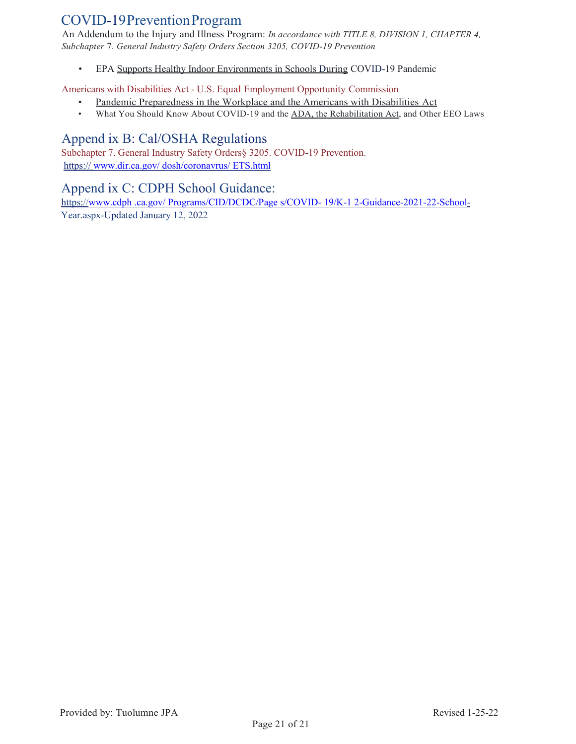## COVID-19PreventionProgram

An Addendum to the Injury and Illness Program: *In accordance with TITLE 8, DIVISION 1, CHAPTER 4, Subchapter* 7. *General Industry Safety Orders Section 3205, COVID-19 Prevention*

• EPA Supports Healthy Indoor Environments in Schools During COVID-19 Pandemic

Americans with Disabilities Act - U.S. Equal Employment Opportunity Commission

- Pandemic Preparedness in the Workplace and the Americans with Disabilities Act
- What You Should Know About COVID-19 and the ADA, the Rehabilitation Act, and Other EEO Laws

### <span id="page-20-0"></span>Append ix B: Cal/OSHA Regulations

Subchapter 7. General Industry Safety Orders§ 3205. COVID-19 Prevention. https:// [www.dir.ca.gov/ dosh/coronavrus/ ETS.html](http://www.dir.ca.gov/%20dosh/coronavrus/%20ETS.html)

### <span id="page-20-1"></span>Append ix C: CDPH School Guidance:

https://www.cdph .ca.gov/ Programs/CID/DCDC/Page s/COVID-19/K-1 2-Guidance-2021-22-School-Year.aspx-Updated January 12, 2022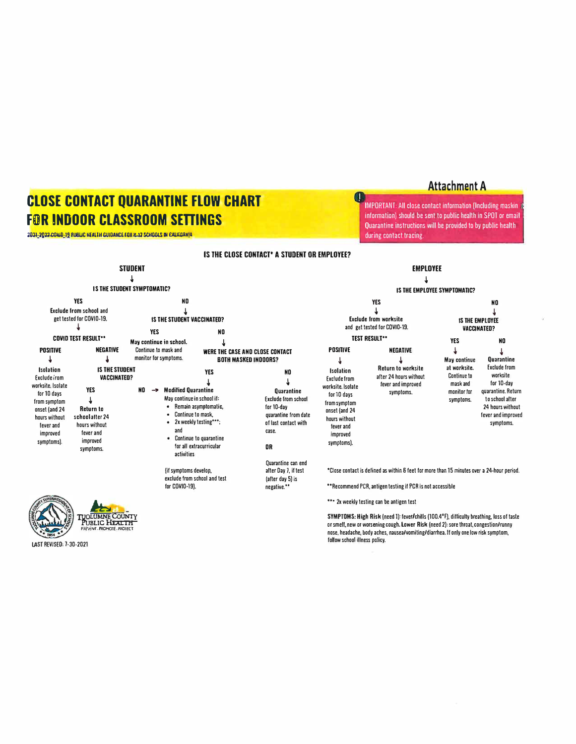# **£LOSE CONTACT QUARANTINE FLOW CHART FOR INDOOR CLASSROOM SETTINGS**

3D31-3033 COMD-18 SNBMC HEVILIH CUIDANCE EON N-13 SCHOOLS IN GALIEDRIN

Attachment A

· IMPORTANT: All close contact information (Including maskin information) should be sent to public health in SPOT or email Quarantine instructions will be provided to by public health during contact tracing.



tAST REVISED: 7-30-2021

follow school illness policy.

O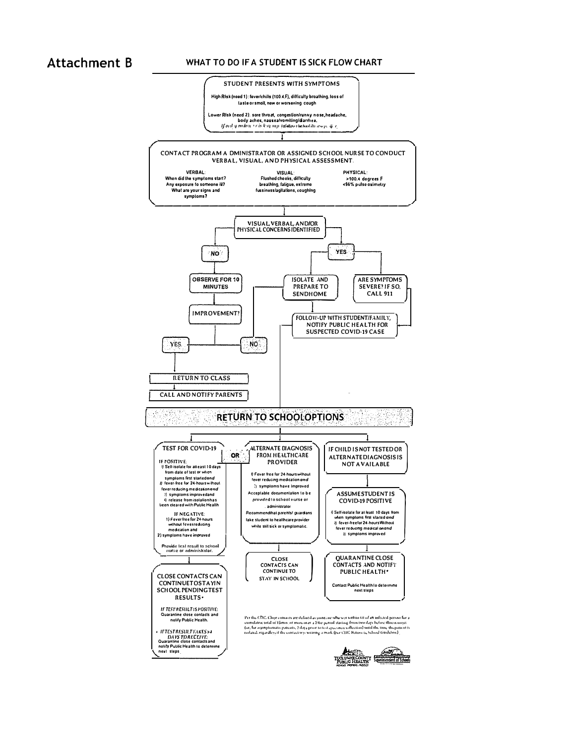### **Attachment B**

#### WHAT TO DO IF A STUDENT IS SICK FLOW CHART

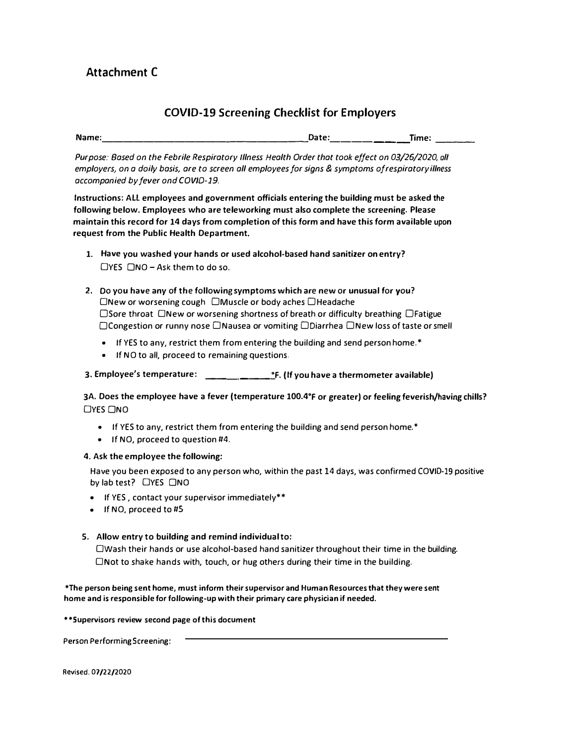### **COVID-19 Screening Checklist for Employers**

| Name: | <b>Date:</b><br>fime: | ----- |
|-------|-----------------------|-------|
|       |                       |       |

*Purpose: Based on the Febrile Respiratory Illness Health Order that took effect on 03/26/2020, all employers, on a doily basis, are to screen all employees for signs & symptoms of respiratory illness accompanied by fever ond COVID-19.* 

**Instructions: ALL employees and government officials entering the building must be asked the following below. Employees who are teleworking must also complete the screening. Please maintain this record for 14 days from completion of this form and have this form available upon request from the Public Health Department.** 

- **1. Have you washed your hands or used alcohol-based hand sanitizer on entry?**  $\Box$ YES  $\Box$ NO – Ask them to do so.
- 2. Do you have any of the following symptoms which are new or unusual for you? □New or worsening cough □Muscle or body aches □Headache □Sore throat □New or worsening shortness of breath or difficulty breathing □Fatigue □Congestion or runny nose □Nausea or vomiting □Diarrhea □New loss of taste or smell
	- If YES to any, restrict them from entering the building and send person home.\*
	- If NO to all, proceed to remaining questions.

**3. Employee's temperature: \_\_\_\_\_\_\_\_ ° F. (If you have a thermometer available)**

**3A. Does the employee have a fever (temperature 100.4° F or greater) or feeling feverish/having chills?**  DYES ONO

- If YES to any, restrict them from entering the building and send person home.\*
- If NO, proceed to question #4.

#### **4. Ask the employee the following:**

Have you been exposed to any person who, within the past 14 days, was confirmed COVID-19 positive by lab test? □YES □NO

- If YES , contact your supervisor immediately\*\*
- If NO, proceed to #5

#### **5. Allow entry to building and remind individual to:**

□Wash their hands or use alcohol-based hand sanitizer throughout their time in the building. □**Not** to shake hands with, touch, or hug others during their time in the building.

**\*The person being sent home, must inform their supervisor and Human Resources that they were sent home and is responsible for following-up with their primary care physician if needed.**

**\*\*Supervisors review second page of this document** 

**Person Performing Screening:** 

Revised. 07/22/2020